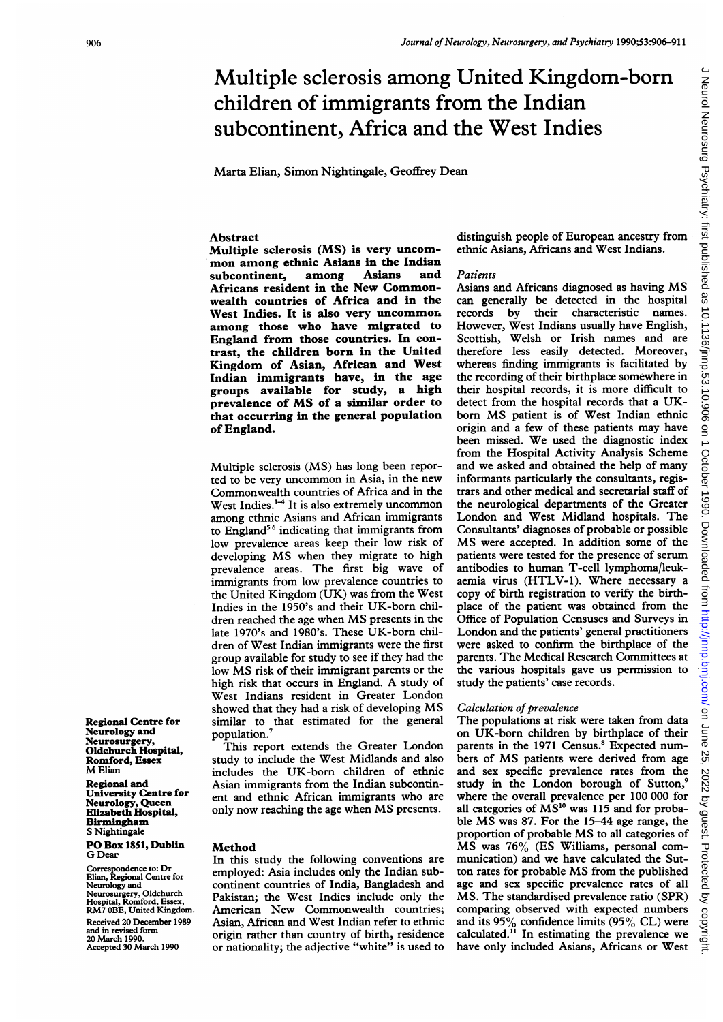# Multiple sclerosis among United Kingdom-born children of immigrants from the Indian subcontinent, Africa and the West Indies

Marta Elian, Simon Nightingale, Geoffrey Dean

#### Abstract

Multiple sclerosis (MS) is very uncommon among ethnic Asians in the Indian<br>subcontinent, among Asians and subcontinent. Africans resident in the New Commonwealth countries of Africa and in the West Indies. It is also very uncommon among those who have migrated to England from those countries. In contrast, the children born in the United Kingdom of Asian, African and West Indian immigrants have, in the age groups available for study, a high prevalence of MS of <sup>a</sup> similar order to that occurring in the general population of England.

Multiple sclerosis (MS) has long been reported to be very uncommon in Asia, in the new Commonwealth countries of Africa and in the West Indies. $1-4$  It is also extremely uncommon among ethnic Asians and African immigrants to England<sup>56</sup> indicating that immigrants from low prevalence areas keep their low risk of developing MS when they migrate to high prevalence areas. The first big wave of immigrants from low prevalence countries to the United Kingdom (UK) was from the West Indies in the 1950's and their UK-born children reached the age when MS presents in the late 1970's and <sup>1980</sup>'s. These UK-born children of West Indian immigrants were the first group available for study to see if they had the low MS risk of their immigrant parents or the high risk that occurs in England. A study of West Indians resident in Greater London showed that they had <sup>a</sup> risk of developing MS similar to that estimated for the general population.7

This report extends the Greater London study to include the West Midlands and also includes the UK-born children of ethnic Asian immigrants from the Indian subcontinent and ethnic African immigrants who are only now reaching the age when MS presents.

#### Method

In this study the following conventions are employed: Asia includes only the Indian subcontinent countries of India, Bangjadesh and Pakistan; the West Indies include only the American New Commonwealth countries; Asian, African and West Indian refer to ethnic origin rather than country of birth, residence or nationality; the adjective "white" is used to distinguish people of European ancestry from ethnic Asians, Africans and West Indians.

#### Patients

Asians and Africans diagnosed as having MS can generally be detected in the hospital records by their characteristic names. However, West Indians usually have English, Scottish, Welsh or Irish names and are therefore less easily detected. Moreover, whereas finding immigrants is facilitated by the recording of their birthplace somewhere in their hospital records, it is more difficult to detect from the hospital records that <sup>a</sup> UKborn MS patient is of West Indian ethnic origin and <sup>a</sup> few of these patients may have been missed. We used the diagnostic index from the Hospital Activity Analysis Scheme and we asked and obtained the help of many informants particularly the consultants, registrars and other medical and secretarial staff of the neurological departments of the Greater London and West Midland hospitals. The Consultants' diagnoses of probable or possible MS were accepted. In addition some of the patients were tested for the presence of serum antibodies to human T-cell lymphoma/leukaemia virus (HTLV-1). Where necessary a copy of birth registration to verify the birthplace of the patient was obtained from the Office of Population Censuses and Surveys in London and the patients' general practitioners were asked to confirm the birthplace of the parents. The Medical Research Committees at the various hospitals gave us permission to study the patients' case records.

# Calculation of prevalence

The populations at risk were taken from data on UK-born children by birthplace of their parents in the 1971 Census.<sup>8</sup> Expected numbers of MS patients were derived from age and sex specific prevalence rates from the study in the London borough of Sutton,<sup>9</sup> where the overall prevalence per 100 000 for all categories of  $\overline{\text{MS}}^{10}$  was 115 and for probable MS was 87. For the 15-44 age range, the proportion of probable MS to all categories of MS was 76% (ES Williams, personal communication) and we have calculated the Sutton rates for probable MS from the published age and sex specific prevalence rates of all MS. The standardised prevalence ratio (SPR) comparing observed with expected numbers and its 95% confidence limits (95% CL) were calculated.<sup>11</sup> In estimating the prevalence we have only included Asians, Africans or West

Regional Centre for Neurology and Neurosurgery, Oldchurch Hospital, Romford, Essex M Elian

Regional and University Centre for Neurology, Queen Elizabeth Hospital, Birmingham S Nightingale

PO Box 1851, Dublin G Dear

Correspondence to: Dr Elian, Regional Centre for Neurology and Neurosurgery, Oldchurch Hospital, Romford, Essex, RM7 OBE, United Kingdom. Received 20 December 1989 and in revised form 20 March 1990. Accepted 30 March 1990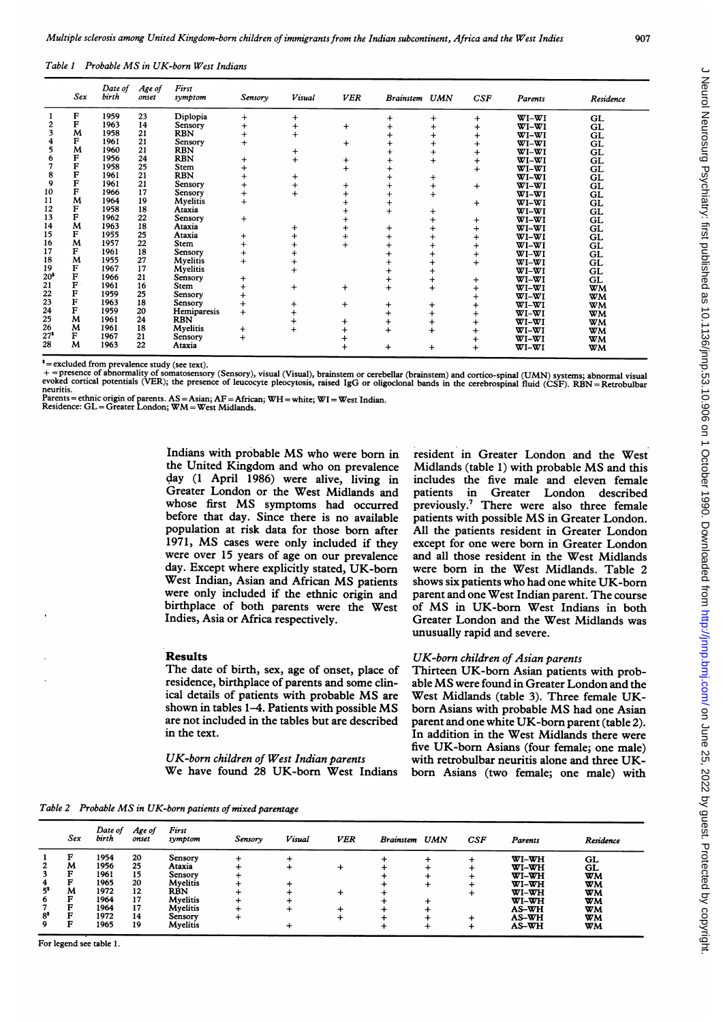Table <sup>1</sup> Probable MS in UK-born West Indians

|                | Sex    | Date of<br>birth | Age of<br>onset | First<br>symptom | Sensory   | Visual         | <b>VER</b> | <b>Brainstem</b> | <b>UMN</b>     | CSE            | Parents | Residence |
|----------------|--------|------------------|-----------------|------------------|-----------|----------------|------------|------------------|----------------|----------------|---------|-----------|
|                | F      | 1959             | 23              | Diplopia         | $\ddot{}$ | $\ddot{}$      |            | $\ddot{}$        | $\ddot{}$      | $\ddot{}$      | $WI-WI$ | <b>GL</b> |
| $\overline{c}$ | F      | 1963             | 14              | Sensory          | $\ddot{}$ |                | $+$        | $+$              | $\overline{+}$ | $+$            | $W1-W1$ | <b>GL</b> |
| 3              | M      | 1958             | 21              | <b>RBN</b>       | $+$       | $^{+}$         |            | +                | $\ddot{}$      | $\ddot{}$      | $WI-WI$ | <b>GL</b> |
|                | F      | 1961             | 21              | Sensory          | $\ddot{}$ |                | $+$        |                  | $\overline{+}$ | $\pmb{+}$      | $WI-WI$ | GL        |
|                | M      | 1960             | 21              | <b>RBN</b>       |           | $\ddot{}$      |            |                  | $+$            | $\overline{+}$ | $WI-WI$ | <b>GL</b> |
|                | F      | 1956             | 24              | <b>RBN</b>       | $\ddot{}$ | $+$            | $+$        |                  | $\ddotmark$    | $\ddot{}$      | $WI-WI$ | <b>GL</b> |
|                | F      | 1958             | 25              | Stem             |           |                | $\ddot{}$  |                  |                | $\ddot{}$      | $WI-WI$ | <b>GL</b> |
| 8              | F      | 1961             | 21              | <b>RBN</b>       |           | $\ddot{}$      |            |                  | $\ddot{}$      |                | $WI-WI$ | GL        |
| 9              | F      | 1961             | 21              | Sensory          | $\ddot{}$ | $\ddot{}$      | $\ddot{}$  |                  | $+$            | $\ddot{}$      | $WI-WI$ | <b>GL</b> |
| 10             | F      | 1966             | 17              | Sensory          | $\ddot{}$ | $\overline{+}$ |            |                  |                |                | $WI-WI$ | <b>GL</b> |
| 11             | M      | 1964             | 19              | <b>Myelitis</b>  | $\ddot{}$ |                |            | $\ddot{}$        |                | $\ddot{}$      | $WI-WI$ | GL        |
| 12             | F      | 1958             | 18              | Ataxia           |           |                |            | $^{+}$           | $\ddot{}$      |                | $WI-WI$ | GL        |
| 13             | F      | 1962             | 22              | Sensory          | $^+$      |                |            |                  |                | $\ddot{}$      | WI-WI   | <b>GL</b> |
| 14             | M      | 1963             | 18              | Ataxia           |           | $\ddot{}$      |            | $\ddot{}$        | $\ddot{}$      | $\ddot{}$      | WI–WI   | <b>GL</b> |
| 15             | F      | 1955             | 25              | Ataxia           | $\ddot{}$ |                | $\ddot{}$  |                  |                | $\ddot{}$      | WI-WI   | GL.       |
| 16             | M      | 1957             | 22              | Stem             |           |                | $\ddot{}$  |                  |                | $\pmb{+}$      | WI–WI   | <b>GL</b> |
| 17             | F      | 1961             | 18              | Sensory          |           |                |            |                  | $\ddot{}$      | $\ddot{}$      | WI–WI   | <b>GL</b> |
| 18             | M      | 1955             | 27              | <b>Myelitis</b>  | $+$       |                |            |                  |                | $\ddot{}$      | WI–WI   | <b>GL</b> |
| 19             | F      | 1967             | 17              | Myelitis         |           |                |            |                  |                |                | WI–WI   | <b>GL</b> |
| $20^3$         | F<br>F | 1966             | 21              | Sensory          | $\ddot{}$ |                |            |                  | $\ddot{}$      | $\ddot{}$      | $WI-WI$ | GL        |
| 21<br>22       | F      | 1961             | 16              | Stem             | $\ddot{}$ | $\ddot{}$      | $\ddot{}$  | $+$              | $\ddot{}$      | $\ddot{}$      | $WI-WI$ | WM        |
|                | F      | 1959             | 25              | Sensory          |           |                |            |                  |                | $\overline{+}$ | $WI-WI$ | <b>WM</b> |
| 23<br>24       | F      | 1963             | 18              | Sensory          | $^{+}$    | $\ddot{}$      | $\ddot{}$  | $\ddot{}$        | $\ddot{}$      | $\pmb{+}$      | $W1-W1$ | <b>WM</b> |
|                | M      | 1959             | 20              | Hemiparesis      | $+$       | $+$            |            |                  | $^{+}$         | $\ddot{}$      | $WI-WI$ | WM        |
| 25<br>26       | M      | 1961             | 24              | RBN              |           |                | +          | $\pmb{+}$        | $\ddot{}$      | $\ddot{}$      | $WI-WI$ | WM        |
| $27^*$         | F      | 1961             | 18              | <b>Myelitis</b>  | $+$       | $+$            | $\ddot{}$  | $\overline{+}$   | $+$            |                | $WI-WI$ | <b>WM</b> |
| 28             | M      | 1967             | 21              | Sensory          | $+$       |                |            |                  |                |                | $WI-WI$ | WM        |
|                |        | 1963             | 22              | Ataxia           |           |                |            | $\ddot{}$        | $\ddot{}$      | $\ddot{}$      | $WI-WI$ | WM        |

' = excluded from prevalence study (see text).

= excluded from prevalence staty (see text).<br>+ = presence of abnormality of somatosensory (Sensory), visual (Visual), brainstem or cerebellar (brainstem) and cortico-spinal (UMN) systems; abnormal visual<br>evoked cortical po

Parents <sup>=</sup> ethnic origin of parents. AS <sup>=</sup> Asian; AF <sup>=</sup> African; WH <sup>=</sup> white; WI <sup>=</sup> West Indian. Residence: GL <sup>=</sup> Greater London; WM<sup>=</sup> West Midlands.

Indians with probable MS who were born in the United Kingdom and who on prevalence day (1 April 1986) were alive, living in Greater London or the West Midlands and whose first MS symptoms had occurred before that day. Since there is no available population at risk data for those born after 1971, MS cases were only included if they were over 15 years of age on our prevalence day. Except where explicitly stated, UK-born West Indian, Asian and African MS patients were only included if the ethnic origin and birthplace of both parents were the West Indies, Asia or Africa respectively.

#### Results

The date of birth, sex, age of onset, place of residence, birthplace of parents and some clinical details of patients with probable MS are shown in tables 1-4. Patients with possible MS are not included in the tables but are described in the text.

UK-born children of West Indian parents We have found <sup>28</sup> UK-born West Indians

resident in Greater London and the West Midlands (table 1) with probable MS and this includes the- five male and eleven female patients in Greater London described previously.7 There were also three female patients with possible MS in Greater London. All the patients resident in Greater London except for one were born in Greater London and all those resident in the West Midlands were born in the West Midlands. Table 2 shows six patients who had one white UK-born parent and one West Indian parent. The course of MS in UK-born West Indians in both Greater London and the West Midlands was unusually rapid and severe.

# UK-born children of Asian parents

Thirteen UK-born Asian patients with probable MS were found in Greater London and the West Midlands (table 3). Three female UKborn Asians with probable MS had one Asian parent and one white UK-born parent (table 2). In addition in the West Midlands there were five UK-born Asians (four female; one male) with retrobulbar neuritis alone and three UKborn Asians (two female; one male) with

Table <sup>2</sup> Probable MS in UK-born patients of mixed parentage

|              | Sex              | Date of<br>birth                                                     | Age of<br>onset                                    | First<br>symptom                                                                                                           | Sensory | Visual | <b>VER</b> | Brainstem UMN | <b>CSF</b> | Parents                                                                                 | Residence                                          |
|--------------|------------------|----------------------------------------------------------------------|----------------------------------------------------|----------------------------------------------------------------------------------------------------------------------------|---------|--------|------------|---------------|------------|-----------------------------------------------------------------------------------------|----------------------------------------------------|
| o<br>8,<br>۰ | F<br>M<br>M<br>F | 1954<br>1956<br>1961<br>1965<br>1972<br>1964<br>1964<br>1972<br>1965 | 20<br>25<br>15<br>20<br>12<br>17<br>17<br>14<br>19 | Sensory<br>Ataxia<br>Sensory<br><b>Mvelitis</b><br><b>RBN</b><br><b>Mvelitis</b><br>Mvelitis<br>Sensory<br><b>Myelitis</b> |         |        |            |               |            | $WI-WH$<br>$WI-WH$<br>$WI-WH$<br>$WI-WH$<br>$WI-WH$<br>WI-WH<br>AS-WH<br>AS-WH<br>AS-WH | GL<br>GL<br>wм<br>WM<br>WM<br>wм<br>WМ<br>WM<br>wм |

For legend see table 1.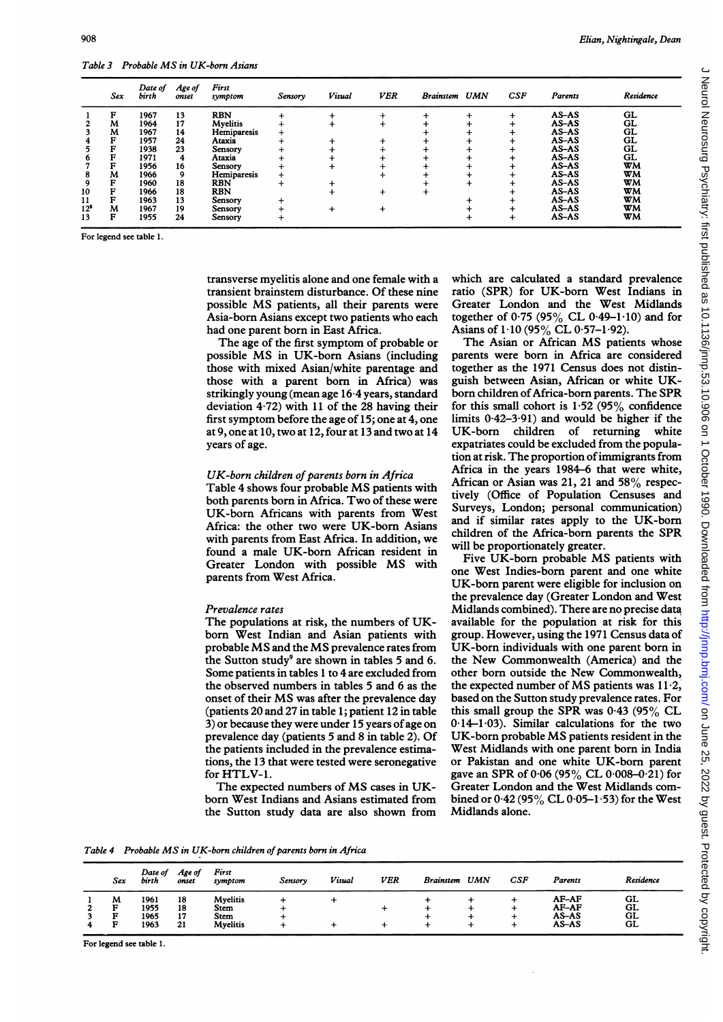Table <sup>3</sup> Probable MS in UK-born Asians

|        | Sex | Date of<br>birth | Age of<br>onset | First<br>symptom | Sensory | Visual | <b>VER</b> | Brainstem UMN | <b>CSF</b> | Parents | Residence |
|--------|-----|------------------|-----------------|------------------|---------|--------|------------|---------------|------------|---------|-----------|
|        | F   | 1967             | 13              | <b>RBN</b>       |         |        |            |               |            | AS-AS   | <b>GL</b> |
|        | M   | 1964             | 17              | <b>Mvelitis</b>  |         |        |            |               |            | AS-AS   | GL        |
|        | M   | 1967             | 14              | Hemiparesis      |         |        |            |               |            | AS-AS   | GL        |
|        |     | 1957             | 24              | Ataxia           |         |        |            |               |            | AS-AS   | GL        |
|        |     | 1938             | 23              | Sensory          |         |        |            |               |            | AS-AS   | GL        |
| o      | F   | 1971             | 4               | Ataxia           |         |        |            |               |            | AS-AS   | GL        |
|        | F   | 1956             | 16              | Sensory          |         |        |            |               |            | AS-AS   | <b>WM</b> |
| 8      | M   | 1966             | 9               | Hemiparesis      |         |        |            |               |            | AS-AS   | WM        |
| 9      | F   | 1960             | 18              | <b>RBN</b>       |         |        |            |               |            | AS-AS   | WM        |
| 10     | г   | 1966             | 18              | <b>RBN</b>       |         |        |            |               |            | AS-AS   | WM        |
| 11     |     | 1963             | 13              | Sensory          |         |        |            |               |            | AS-AS   | WM        |
| $12^5$ | M   | 1967             | 19              | Sensory          |         |        |            |               |            | AS-AS   | WМ        |
| 13     | F   | 1955             | 24              | Sensory          |         |        |            |               |            | AS-AS   | wм        |

For legend see table 1.

transverse myelitis alone and one female with a transient brainstem disturbance. Of these nine possible MS patients, all their parents were Asia-born Asians except two patients who each had one parent born in East Africa.

The age of the first symptom of probable or possible MS in UK-born Asians (including those with mixed Asian/white parentage and those with a parent born in Africa) was strikingly young (mean age 16-4 years, standard deviation 4 72) with 11 of the 28 having their first symptom before the age of 15; one at 4, one at 9, one at 10, two at 12, four at 13 and two at 14 years of age.

# UK-born children of parents born in Africa

Table <sup>4</sup> shows four probable MS patients with both parents born in Africa. Two of these were UK-born Africans with parents from West Africa: the other two were UK-born Asians with parents from East Africa. In addition, we found a male UK-born African resident in Greater London with possible MS with parents from West Africa.

### Prevalence rates

The populations at risk, the numbers of UKborn West Indian and Asian patients with probable MS and the MS prevalence rates from the Sutton study<sup>9</sup> are shown in tables 5 and 6. Some patients in tables <sup>1</sup> to 4 are excluded from the observed numbers in tables 5 and 6 as the onset of their MS was after the prevalence day (patients 20 and 27 in table 1; patient 12 in table 3) or because they were under 15 years ofage on prevalence day (patients 5 and 8 in table 2). Of the patients included in the prevalence estimations, the 13 that were tested were seronegative for HTLV-1.

The expected numbers of MS cases in UKborn West Indians and Asians estimated from the Sutton study data are also shown from which are calculated a standard prevalence ratio (SPR) for UK-born West Indians in Greater London and the West Midlands together of  $0.75$  (95% CL  $0.49-1.10$ ) and for Asians of  $1.10$  (95% CL 0.57-1.92).

The Asian or African MS patients whose parents were born in Africa are considered together as the 1971 Census does not distinguish between Asian, African or white UKborn children of Africa-born parents. The SPR for this small cohort is  $1.52(95\%$  confidence limits 0-42-3-91) and would be higher if the UK-born children of returning white expatriates could be excluded from the population at risk. The proportion ofimmigrants from Africa in the years 1984-6 that were white, African or Asian was 21, 21 and 58% respectively (Office of Population Censuses and Surveys, London; personal communication) and if similar rates apply to the UK-bom children of the Africa-born parents the SPR will be proportionately greater.

Five UK-born probable MS patients with one West Indies-born parent and one white UK-born parent were eligible for inclusion on the prevalence day (Greater London and West Midlands combined). There are no precise data available for the population at risk for this group. However, using the 1971 Census data of UK-born individuals with one parent born in the New Commonwealth (America) and the other born outside the New Commonwealth, the expected number of MS patients was  $11.2$ , based on the Sutton study prevalence rates. For this small group the SPR was  $0.43$  (95% CL  $0.14-1.03$ ). Similar calculations for the two UK-born probable MS patients resident in the West Midlands with one parent born in India or Pakistan and one white UK-born parent gave an SPR of  $0.06$  (95% CL  $0.008-0.21$ ) for Greater London and the West Midlands combined or  $0.42$  (95% CL 0.05-1.53) for the West Midlands alone.

Table 4 Probable MS in UK-born children of parents born in Africa

|   | Sex    | Date of<br>birth | Age of<br>onset | First<br>symptom        | Sensory | Visual | VER | Brainstem UMN | CSF | Parents        | Residence |
|---|--------|------------------|-----------------|-------------------------|---------|--------|-----|---------------|-----|----------------|-----------|
| 2 | M<br>F | 1961<br>1955     | 18<br>18        | <b>Myelitis</b><br>Stem |         |        |     |               |     | AF-AF<br>AF-AF | GL<br>GL  |
| 4 | п<br>E | 1965<br>1963     | 17<br>21        | Stem<br><b>Myelitis</b> |         |        |     |               |     | AS-AS<br>AS-AS | GL<br>GL  |

For legend see table 1.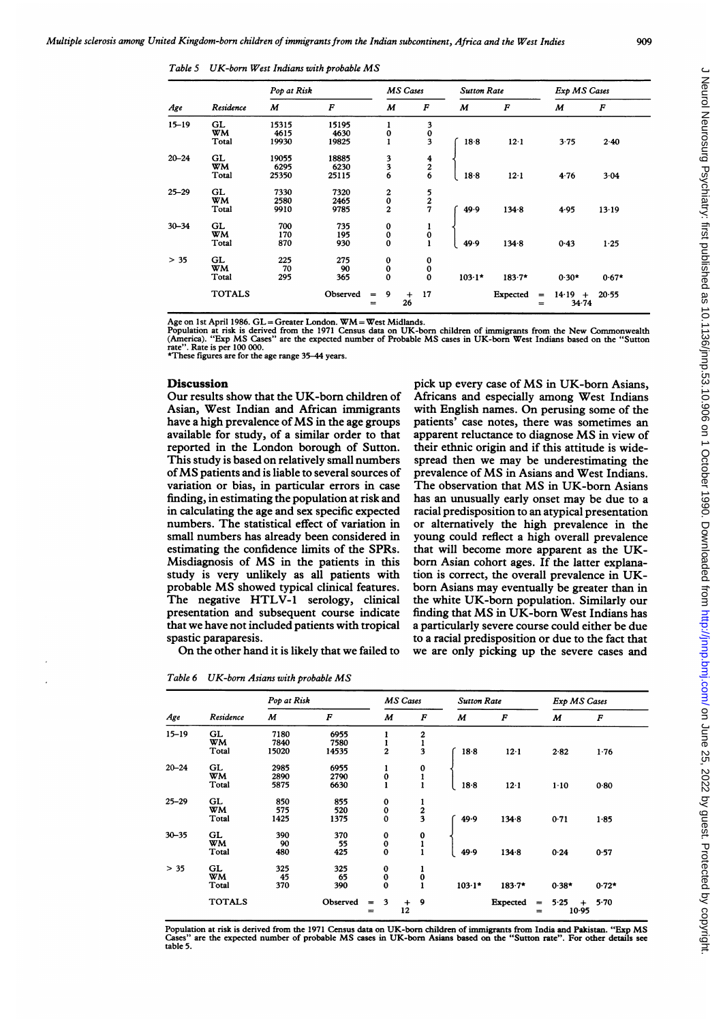Table <sup>5</sup> UK-born West Indians with probable MS

|                                             |               | Pop at Risk |           |            | MS Cases                             |                 |                                            | <b>Sutton Rate</b> |                  |          | Exp MS Cases          |         |  |
|---------------------------------------------|---------------|-------------|-----------|------------|--------------------------------------|-----------------|--------------------------------------------|--------------------|------------------|----------|-----------------------|---------|--|
| Age                                         | Residence     | M           | $\pmb{F}$ |            | $\boldsymbol{M}$                     |                 | $\boldsymbol{F}$                           | M                  | $\boldsymbol{F}$ |          | M                     | F       |  |
| $15 - 19$                                   | GL            | 15315       | 15195     |            |                                      |                 |                                            |                    |                  |          |                       |         |  |
|                                             | <b>WM</b>     | 4615        | 4630      |            | 0                                    |                 | $\begin{array}{c} 3 \\ 0 \\ 3 \end{array}$ |                    |                  |          |                       |         |  |
|                                             | Total         | 19930       | 19825     |            |                                      |                 |                                            | 18.8               | $12-1$           |          | 3.75                  | $2-40$  |  |
| $20 - 24$<br>$25 - 29$<br>$30 - 34$<br>> 35 | GL            | 19055       | 18885     |            | 3                                    |                 |                                            |                    |                  |          |                       |         |  |
|                                             | <b>WM</b>     | 6295        | 6230      |            | 3                                    |                 |                                            |                    |                  |          |                       |         |  |
|                                             | Total         | 25350       | 25115     |            | 6                                    |                 | $\frac{4}{2}$                              | $18-8$             | $12 \cdot 1$     |          | 4.76                  | 3.04    |  |
|                                             | GL            | 7330        | 7320      |            |                                      |                 |                                            |                    |                  |          |                       |         |  |
|                                             | WM            | 2580        | 2465      |            | $\begin{matrix} 2 \\ 0 \end{matrix}$ |                 |                                            |                    |                  |          |                       |         |  |
|                                             | Total         | 9910        | 9785      |            | $\overline{a}$                       |                 | $\frac{5}{2}$                              | 49.9               | 1348             |          | 4.95                  | 13.19   |  |
|                                             | GL            | 700         | 735       |            | 0                                    |                 | 1                                          |                    |                  |          |                       |         |  |
|                                             | WM            | 170         | 195       |            | 0                                    |                 | $\bf{0}$                                   |                    |                  |          |                       |         |  |
|                                             | Total         | 870         | 930       |            | $\bf{0}$                             |                 | $\mathbf{I}$                               | 49.9               | 134.8            |          | 0.43                  | 1.25    |  |
|                                             | GL            | 225         | 275       |            | 0                                    |                 |                                            |                    |                  |          |                       |         |  |
|                                             | WM            | 70          | 90        |            | $\bf{0}$                             |                 | $_{0}^{0}$                                 |                    |                  |          |                       |         |  |
|                                             | Total         | 295         | 365       |            | $\mathbf 0$                          |                 | $\mathbf 0$                                | $103.1*$           | $183.7*$         |          | $0.30*$               | $0.67*$ |  |
|                                             | <b>TOTALS</b> |             | Observed  | $=$<br>$=$ | 9                                    | $\ddot{}$<br>26 | 17                                         |                    | Expected         | $=$<br>= | 14.19<br>$+$<br>34.74 | $20-55$ |  |

Age on 1st April 1986. GL<sup>=</sup> Greater London. WM<sup>=</sup> West Midlands.

Population at risk is derived from the 1971 Census data on UK-born children of immigrants from the New Commonwealth<br>(America). "Exp MS Cases" are the expected number of Probable MS cases in UK-born West Indians based on th Ite". Rate is per 100 000

\*These figures are for the age range 35–44 years.

#### Discussion

Our results show that the UK-born children of Asian, West Indian and African immigrants have <sup>a</sup> high prevalence of MS in the age groups available for study, of a similar order to that reported in the London borough of Sutton. This study is based on relatively small numbers ofMS patients and is liable to several sources of variation or bias, in particular errors in case finding, in estimating the population at risk and in calculating the age and sex specific expected numbers. The statistical effect of variation in small numbers has already been considered in estimating the confidence limits of the SPRs. Misdiagnosis of MS in the patients in this study is very unlikely as all patients with probable MS showed typical clinical features. The negative HTLV-<sup>I</sup> serology, clinical presentation and subsequent course indicate that we have not included patients with tropical spastic paraparesis.

pick up every case of MS in UK-born Asians, Africans and especially among West Indians with English names. On perusing some of the patients' case notes, there was sometimes an apparent reluctance to diagnose MS in view of their ethnic origin and if this attitude is widespread then we may be underestimating the prevalence of MS in Asians and West Indians. The observation that MS in UK-born Asians has an unusually early onset may be due to a racial predisposition to an atypical presentation or alternatively the high prevalence in the young could reflect a high overall prevalence that will become more apparent as the UKborn Asian cohort ages. If the latter explanation is correct, the overall prevalence in UKborn Asians may eventually be greater than in the white UK-born population. Similarly our finding that MS in UK-born West Indians has a particularly severe course could either be due to a racial predisposition or due to the fact that we are only picking up the severe cases and

On the other hand it is likely that we failed to

Pop at Risk MS Cases Sutton Rate Exp MS Cases  $Age$  Residence  $\overline{M}$   $\overline{F}$   $\overline{M}$   $\overline{F}$   $\overline{M}$   $\overline{F}$   $\overline{M}$   $\overline{F}$ 15-19 GL <sup>7180</sup> <sup>6955</sup> <sup>1</sup> <sup>2</sup> WM 7840 7580 1 1 Total 15020 14535 2 3 18 8 12-1 2-82 1-76 20-24 GL <sup>2985</sup> <sup>6955</sup> <sup>1</sup> <sup>0</sup> WM 2890 2790 0 1 Total 5875 6630 <sup>1</sup> <sup>1</sup> <sup>L</sup> 18-8 12-1 <sup>1</sup> 10 0-80 25-29 GL <sup>850</sup> <sup>855</sup> <sup>0</sup> <sup>1</sup> WM 575 520 0 2 Total 1425 1375 0 3 <sup>F</sup> 49 9 134-8 0 71 1-85 30-35 GL <sup>390</sup> <sup>370</sup> <sup>0</sup> <sup>0</sup> W<sub>M</sub> 90 55 0 1 Total 480 425 0 <sup>1</sup> <sup>L</sup> 49-9 134-8 0-24 0-57 > <sup>35</sup> GL <sup>325</sup> <sup>325</sup> <sup>0</sup> <sup>1</sup> W<sub>M</sub> 45 65 0 0 Total 370 390 0 <sup>1</sup> 103-1\* 183-7\* 0-38\* 0-72\*  $\text{TOTALS}$  Observed = 3 + 9 Expected = 5.25 + 5.70  $=$  12  $=$  10.95

Table <sup>6</sup> UK-born Asians with probable MS

Population at risk is derived from the 1971 Census data on UK-born children of immigrants from India and Pakistan. "Exp MS<br>Cases" are the expected number of probable MS cases in UK-born Asians based on the "Sutton rate". F table 5.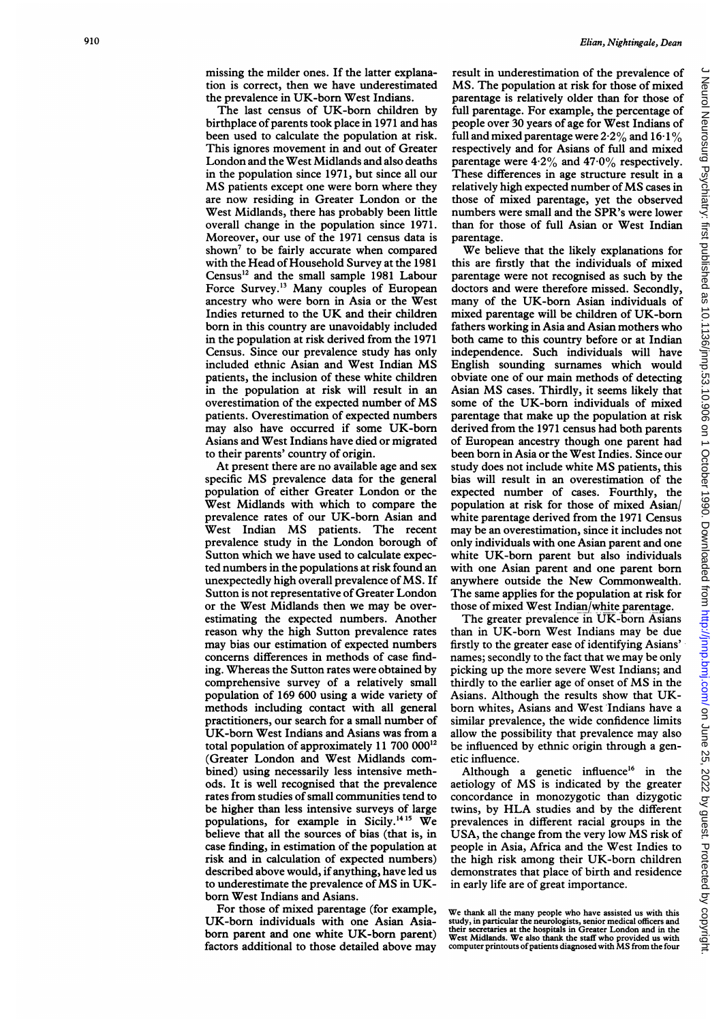missing the milder ones. If the latter explanation is correct, then we have underestimated the prevalence in UK-born West Indians.

The last census of UK-born children by birthplace of parents took place in 1971 and has been used to calculate the population at risk. This ignores movement in and out of Greater London and the West Midlands and also deaths in the population since 1971, but since all our MS patients except one were born where they are now residing in Greater London or the West Midlands, there has probably been little overall change in the population since 1971. Moreover, our use of the 1971 census data is shown<sup>7</sup> to be fairly accurate when compared with the Head of Household Survey at the 1981 Census'2 and the small sample 1981 Labour Force Survey.'3 Many couples of European ancestry who were born in Asia or the West Indies returned to the UK and their children born in this country are unavoidably included in the population at risk derived from the 1971 Census. Since our prevalence study has only included ethnic Asian and West Indian MS patients, the inclusion of these white children in the population at risk will result in an overestimation of the expected number of MS patients. Overestimation of expected numbers may also have occurred if some UK-born Asians and West Indians have died or migrated to their parents' country of origin.

At present there are no available age and sex specific MS prevalence data for the general population of either Greater London or the West Midlands with which to compare the prevalence rates of our UK-born Asian and West Indian MS patients. The recent prevalence study in the London borough of Sutton which we have used to calculate expected numbers in the populations at risk found an unexpectedly high overall prevalence of MS. If Sutton is not representative of Greater London or the West Midlands then we may be overestimating the expected numbers. Another reason why the high Sutton prevalence rates may bias our estimation of expected numbers concerns differences in methods of case finding. Whereas the Sutton rates were obtained by comprehensive survey of a relatively small population of 169 600 using a wide variety of methods including contact with all general practitioners, our search for a small number of UK-born West Indians and Asians was from a total population of approximately 11 700 000<sup>12</sup> (Greater London and West Midlands combined) using necessarily less intensive methods. It is well recognised that the prevalence rates from studies of small communities tend to be higher than less intensive surveys of large populations, for example in Sicily.<sup>1415</sup> We believe that all the sources of bias (that is, in case finding, in estimation of the population at risk and in calculation of expected numbers) described above would, if anything, have led us to underestimate the prevalence of MS in UKborn West Indians and Asians.

For those of mixed parentage (for example, UK-born individuals with one Asian Asiaborn parent and one white UK-born parent) factors additional to those detailed above may

Elian, Nightingale, Dean

result in underestimation of the prevalence of MS. The population at risk for those of mixed parentage is relatively older than for those of full parentage. For example, the percentage of people over 30 years of age for West Indians of full and mixed parentage were  $2\cdot 2\%$  and  $16\cdot 1\%$ respectively and for Asians of full and mixed parentage were  $4.2\%$  and  $47.0\%$  respectively. These differences in age structure result in a relatively high expected number of MS cases in those of mixed parentage, yet the observed numbers were small and the SPR's were lower than for those of full Asian or West Indian parentage.

We believe that the likely explanations for this are firstly that the individuals of mixed parentage were not recognised as such by the doctors and were therefore missed. Secondly, many of the UK-born Asian individuals of mixed parentage will be children of UK-born fathers working in Asia and Asian mothers who both came to this country before or at Indian independence. Such individuals will have English sounding surnames which would obviate one of our main methods of detecting Asian MS cases. Thirdly, it seems likely that some of the UK-born individuals of mixed parentage that make up the population at risk derived from the 1971 census had both parents of European ancestry though one parent had been born in Asia or the West Indies. Since our study does not include white MS patients, this bias will result in an overestimation of the expected number of cases. Fourthly, the population at risk for those of mixed Asian/ white parentage derived from the 1971 Census may be an overestimation, since it includes not only individuals with one Asian parent and one white UK-born parent but also individuals with one Asian parent and one parent born anywhere outside the New Commonwealth. The same applies for the population at risk for those of mixed West Indian/white parentage.

The greater prevalence in UK-born Asians than in UK-born West Indians may be due firstly to the greater ease of identifying Asians' names; secondly to the fact that we may be only picking up the more severe West Indians; and thirdly to the earlier age of onset of MS in the Asians. Although the results show that UKborn whites, Asians and West Indians have a similar prevalence, the wide confidence limits allow the possibility that prevalence may also be influenced by ethnic origin through a genetic influence.

Although a genetic influence<sup>16</sup> in the aetiology of MS is indicated by the greater concordance in monozygotic than dizygotic twins, by HLA studies and by the different prevalences in different racial groups in the USA, the change from the very low MS risk of people in Asia, Africa and the West Indies to the high risk among their UK-born children demonstrates that place of birth and residence in early life are of great importance.

We thank all the many people who have assisted us with this study, in particular the neurologists, senior medical officers and<br>their secretaries at the hospitals in Greater London and in the<br>West Midlands. We also thank the staff who provided us with<br>computer printouts of patients